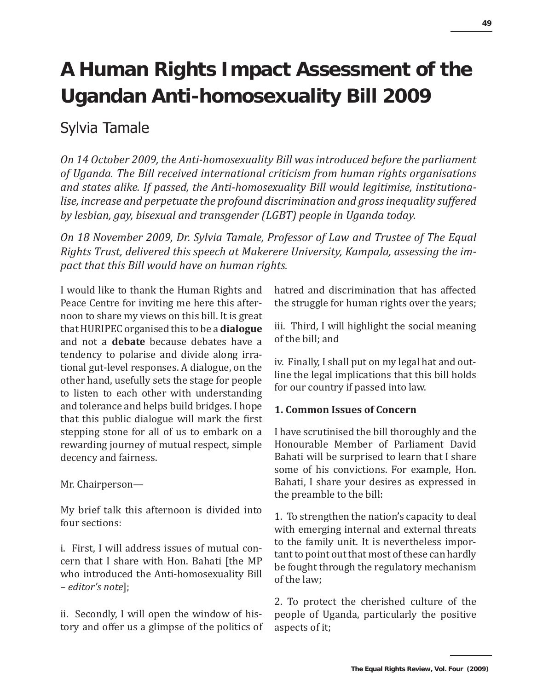# **A Human Rights Impact Assessment of the Ugandan Anti-homosexuality Bill 2009**

# Sylvia Tamale

*On 14 October 2009, the Anti-homosexuality Bill was introduced before the parliament of Uganda. The Bill received international criticism from human rights organisations and states alike. If passed, the Anti-homosexuality Bill would legitimise, institutionalise, increase and perpetuate the profound discrimination and gross inequality suffered by lesbian, gay, bisexual and transgender (LGBT) people in Uganda today.* 

*On 18 November 2009, Dr. Sylvia Tamale, Professor of Law and Trustee of The Equal Rights Trust, delivered this speech at Makerere University, Kampala, assessing the impact that this Bill would have on human rights.*

I would like to thank the Human Rights and Peace Centre for inviting me here this afternoon to share my views on this bill. It is great that HURIPEC organised this to be a **dialogue** and not a **debate** because debates have a tendency to polarise and divide along irrational gut-level responses. A dialogue, on the other hand, usefully sets the stage for people to listen to each other with understanding and tolerance and helps build bridges. I hope that this public dialogue will mark the first stepping stone for all of us to embark on a rewarding journey of mutual respect, simple decency and fairness.

Mr. Chairperson—

My brief talk this afternoon is divided into four sections:

i. First, I will address issues of mutual concern that I share with Hon. Bahati [the MP who introduced the Anti-homosexuality Bill – *editor's note*];

ii. Secondly, I will open the window of history and offer us a glimpse of the politics of hatred and discrimination that has affected the struggle for human rights over the years;

iii. Third, I will highlight the social meaning of the bill; and

iv. Finally, I shall put on my legal hat and outline the legal implications that this bill holds for our country if passed into law.

# **1. Common Issues of Concern**

I have scrutinised the bill thoroughly and the Honourable Member of Parliament David Bahati will be surprised to learn that I share some of his convictions. For example, Hon. Bahati, I share your desires as expressed in the preamble to the bill:

1. To strengthen the nation's capacity to deal with emerging internal and external threats to the family unit. It is nevertheless important to point out that most of these can hardly be fought through the regulatory mechanism of the law;

2. To protect the cherished culture of the people of Uganda, particularly the positive aspects of it;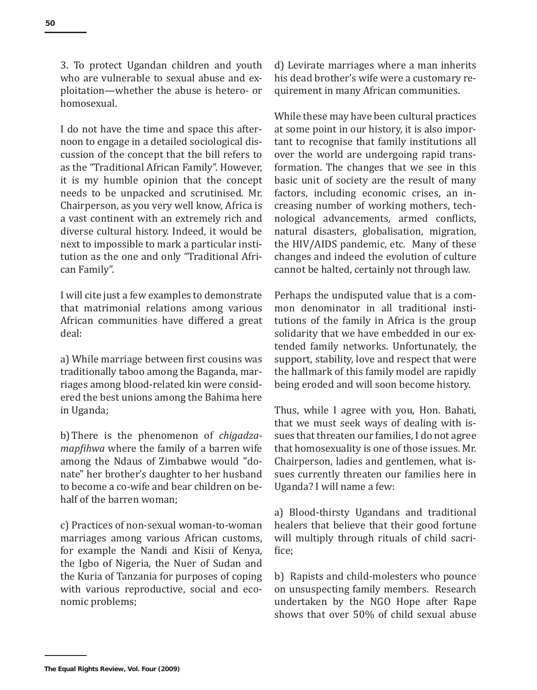3. To protect Ugandan children and youth who are vulnerable to sexual abuse and exploitation—whether the abuse is hetero- or homosexual.

I do not have the time and space this afternoon to engage in a detailed sociological discussion of the concept that the bill refers to as the "Traditional African Family". However, it is my humble opinion that the concept needs to be unpacked and scrutinised. Mr. Chairperson, as you very well know, Africa is a vast continent with an extremely rich and diverse cultural history. Indeed, it would be next to impossible to mark a particular institution as the one and only "Traditional African Family".

I will cite just a few examples to demonstrate that matrimonial relations among various African communities have differed a great deal:

a) While marriage between first cousins was traditionally taboo among the Baganda, marriages among blood-related kin were considered the best unions among the Bahima here in Uganda;

b)There is the phenomenon of *chigadzamapfihwa* where the family of a barren wife among the Ndaus of Zimbabwe would "donate" her brother's daughter to her husband to become a co-wife and bear children on behalf of the barren woman;

c) Practices of non-sexual woman-to-woman marriages among various African customs, for example the Nandi and Kisii of Kenya, the Igbo of Nigeria, the Nuer of Sudan and the Kuria of Tanzania for purposes of coping with various reproductive, social and economic problems;

d) Levirate marriages where a man inherits his dead brother's wife were a customary requirement in many African communities.

While these may have been cultural practices at some point in our history, it is also important to recognise that family institutions all over the world are undergoing rapid transformation. The changes that we see in this basic unit of society are the result of many factors, including economic crises, an increasing number of working mothers, technological advancements, armed conflicts, natural disasters, globalisation, migration, the HIV/AIDS pandemic, etc. Many of these changes and indeed the evolution of culture cannot be halted, certainly not through law.

Perhaps the undisputed value that is a common denominator in all traditional institutions of the family in Africa is the group solidarity that we have embedded in our extended family networks. Unfortunately, the support, stability, love and respect that were the hallmark of this family model are rapidly being eroded and will soon become history.

Thus, while I agree with you, Hon. Bahati, that we must seek ways of dealing with issues that threaten our families, I do not agree that homosexuality is one of those issues. Mr. Chairperson, ladies and gentlemen, what issues currently threaten our families here in Uganda? I will name a few:

a) Blood-thirsty Ugandans and traditional healers that believe that their good fortune will multiply through rituals of child sacrifice;

b) Rapists and child-molesters who pounce on unsuspecting family members. Research undertaken by the NGO Hope after Rape shows that over 50% of child sexual abuse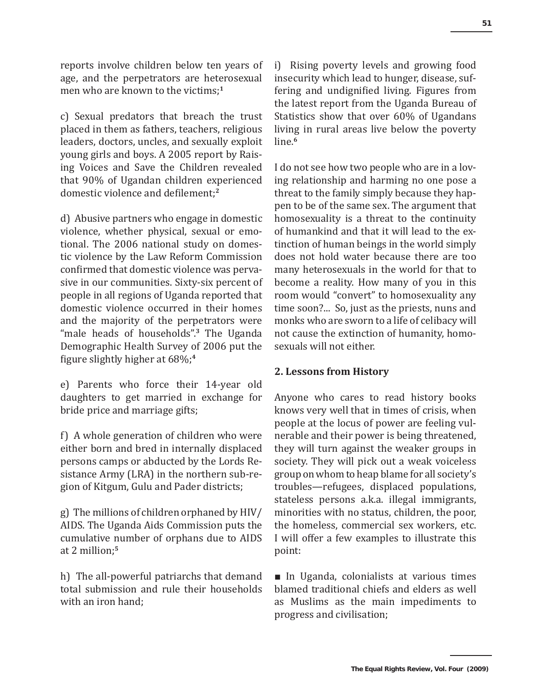reports involve children below ten years of age, and the perpetrators are heterosexual men who are known to the victims;**<sup>1</sup>**

c) Sexual predators that breach the trust placed in them as fathers, teachers, religious leaders, doctors, uncles, and sexually exploit young girls and boys. A 2005 report by Raising Voices and Save the Children revealed that 90% of Ugandan children experienced domestic violence and defilement;**<sup>2</sup>**

d) Abusive partners who engage in domestic violence, whether physical, sexual or emotional. The 2006 national study on domestic violence by the Law Reform Commission confirmed that domestic violence was pervasive in our communities. Sixty-six percent of people in all regions of Uganda reported that domestic violence occurred in their homes and the majority of the perpetrators were "male heads of households".**<sup>3</sup>** The Uganda Demographic Health Survey of 2006 put the figure slightly higher at 68%;**<sup>4</sup>**

e) Parents who force their 14-year old daughters to get married in exchange for bride price and marriage gifts;

f) A whole generation of children who were either born and bred in internally displaced persons camps or abducted by the Lords Resistance Army (LRA) in the northern sub-region of Kitgum, Gulu and Pader districts;

g) The millions of children orphaned by HIV/ AIDS. The Uganda Aids Commission puts the cumulative number of orphans due to AIDS at 2 million;**<sup>5</sup>**

h) The all-powerful patriarchs that demand total submission and rule their households with an iron hand;

i) Rising poverty levels and growing food insecurity which lead to hunger, disease, suffering and undignified living. Figures from the latest report from the Uganda Bureau of Statistics show that over 60% of Ugandans living in rural areas live below the poverty line.**<sup>6</sup>**

I do not see how two people who are in a loving relationship and harming no one pose a threat to the family simply because they happen to be of the same sex. The argument that homosexuality is a threat to the continuity of humankind and that it will lead to the extinction of human beings in the world simply does not hold water because there are too many heterosexuals in the world for that to become a reality. How many of you in this room would "convert" to homosexuality any time soon?... So, just as the priests, nuns and monks who are sworn to a life of celibacy will not cause the extinction of humanity, homosexuals will not either.

#### **2. Lessons from History**

Anyone who cares to read history books knows very well that in times of crisis, when people at the locus of power are feeling vulnerable and their power is being threatened, they will turn against the weaker groups in society. They will pick out a weak voiceless group on whom to heap blame for all society's troubles—refugees, displaced populations, stateless persons a.k.a. illegal immigrants, minorities with no status, children, the poor, the homeless, commercial sex workers, etc. I will offer a few examples to illustrate this point:

■ In Uganda, colonialists at various times blamed traditional chiefs and elders as well as Muslims as the main impediments to progress and civilisation;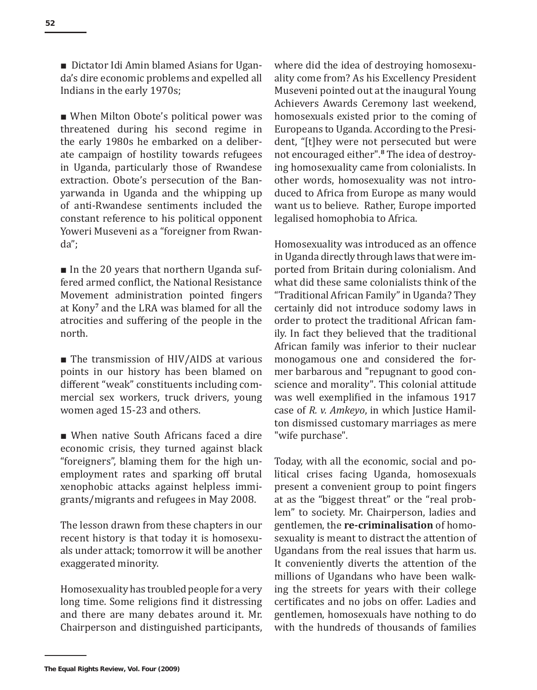■ Dictator Idi Amin blamed Asians for Uganda's dire economic problems and expelled all Indians in the early 1970s;

■ When Milton Obote's political power was threatened during his second regime in the early 1980s he embarked on a deliberate campaign of hostility towards refugees in Uganda, particularly those of Rwandese extraction. Obote's persecution of the Banyarwanda in Uganda and the whipping up of anti-Rwandese sentiments included the constant reference to his political opponent Yoweri Museveni as a "foreigner from Rwanda";

■ In the 20 years that northern Uganda suffered armed conflict, the National Resistance Movement administration pointed fingers at Kony**<sup>7</sup>** and the LRA was blamed for all the atrocities and suffering of the people in the north.

■ The transmission of HIV/AIDS at various points in our history has been blamed on different "weak" constituents including commercial sex workers, truck drivers, young women aged 15-23 and others.

■ When native South Africans faced a dire economic crisis, they turned against black "foreigners", blaming them for the high unemployment rates and sparking off brutal xenophobic attacks against helpless immigrants/migrants and refugees in May 2008.

The lesson drawn from these chapters in our recent history is that today it is homosexuals under attack; tomorrow it will be another exaggerated minority.

Homosexuality has troubled people for a very long time. Some religions find it distressing and there are many debates around it. Mr. Chairperson and distinguished participants, where did the idea of destroying homosexuality come from? As his Excellency President Museveni pointed out at the inaugural Young Achievers Awards Ceremony last weekend, homosexuals existed prior to the coming of Europeans to Uganda. According to the President, "[t]hey were not persecuted but were not encouraged either".**<sup>8</sup>** The idea of destroying homosexuality came from colonialists. In other words, homosexuality was not introduced to Africa from Europe as many would want us to believe. Rather, Europe imported legalised homophobia to Africa.

Homosexuality was introduced as an offence in Uganda directly through laws that were imported from Britain during colonialism. And what did these same colonialists think of the "Traditional African Family" in Uganda? They certainly did not introduce sodomy laws in order to protect the traditional African family. In fact they believed that the traditional African family was inferior to their nuclear monogamous one and considered the former barbarous and "repugnant to good conscience and morality". This colonial attitude was well exemplified in the infamous 1917 case of *R. v. Amkeyo*, in which Justice Hamilton dismissed customary marriages as mere "wife purchase".

Today, with all the economic, social and political crises facing Uganda, homosexuals present a convenient group to point fingers at as the "biggest threat" or the "real problem" to society. Mr. Chairperson, ladies and gentlemen, the **re-criminalisation** of homosexuality is meant to distract the attention of Ugandans from the real issues that harm us. It conveniently diverts the attention of the millions of Ugandans who have been walking the streets for years with their college certificates and no jobs on offer. Ladies and gentlemen, homosexuals have nothing to do with the hundreds of thousands of families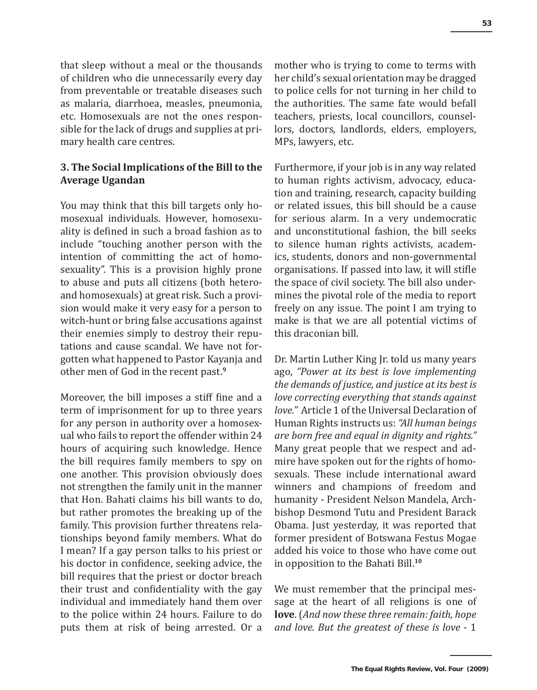that sleep without a meal or the thousands of children who die unnecessarily every day from preventable or treatable diseases such as malaria, diarrhoea, measles, pneumonia, etc. Homosexuals are not the ones responsible for the lack of drugs and supplies at primary health care centres.

## **3. The Social Implications of the Bill to the Average Ugandan**

You may think that this bill targets only homosexual individuals. However, homosexuality is defined in such a broad fashion as to include "touching another person with the intention of committing the act of homosexuality". This is a provision highly prone to abuse and puts all citizens (both heteroand homosexuals) at great risk. Such a provision would make it very easy for a person to witch-hunt or bring false accusations against their enemies simply to destroy their reputations and cause scandal. We have not forgotten what happened to Pastor Kayanja and other men of God in the recent past.**<sup>9</sup>**

Moreover, the bill imposes a stiff fine and a term of imprisonment for up to three years for any person in authority over a homosexual who fails to report the offender within 24 hours of acquiring such knowledge. Hence the bill requires family members to spy on one another. This provision obviously does not strengthen the family unit in the manner that Hon. Bahati claims his bill wants to do, but rather promotes the breaking up of the family. This provision further threatens relationships beyond family members. What do I mean? If a gay person talks to his priest or his doctor in confidence, seeking advice, the bill requires that the priest or doctor breach their trust and confidentiality with the gay individual and immediately hand them over to the police within 24 hours. Failure to do puts them at risk of being arrested. Or a mother who is trying to come to terms with her child's sexual orientation may be dragged to police cells for not turning in her child to the authorities. The same fate would befall teachers, priests, local councillors, counsellors, doctors, landlords, elders, employers, MPs, lawyers, etc.

Furthermore, if your job is in any way related to human rights activism, advocacy, education and training, research, capacity building or related issues, this bill should be a cause for serious alarm. In a very undemocratic and unconstitutional fashion, the bill seeks to silence human rights activists, academics, students, donors and non-governmental organisations. If passed into law, it will stifle the space of civil society. The bill also undermines the pivotal role of the media to report freely on any issue. The point I am trying to make is that we are all potential victims of this draconian bill.

Dr. Martin Luther King Jr. told us many years ago, *"Power at its best is love implementing the demands of justice, and justice at its best is love correcting everything that stands against love."* Article 1 of the Universal Declaration of Human Rights instructs us: *"All human beings are born free and equal in dignity and rights."* Many great people that we respect and admire have spoken out for the rights of homosexuals. These include international award winners and champions of freedom and humanity - President Nelson Mandela, Archbishop Desmond Tutu and President Barack Obama. Just yesterday, it was reported that former president of Botswana Festus Mogae added his voice to those who have come out in opposition to the Bahati Bill.**<sup>10</sup>**

We must remember that the principal message at the heart of all religions is one of **love**. (*And now these three remain: faith, hope and love. But the greatest of these is love* - 1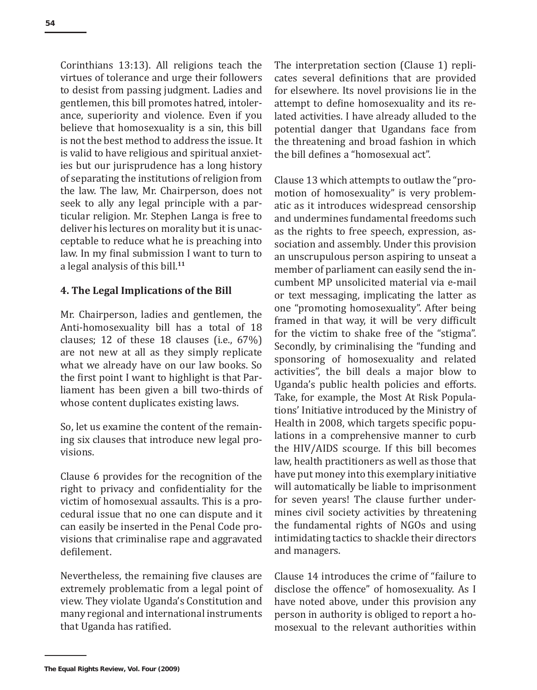Corinthians 13:13). All religions teach the virtues of tolerance and urge their followers to desist from passing judgment. Ladies and gentlemen, this bill promotes hatred, intolerance, superiority and violence. Even if you believe that homosexuality is a sin, this bill is not the best method to address the issue. It is valid to have religious and spiritual anxieties but our jurisprudence has a long history of separating the institutions of religion from the law. The law, Mr. Chairperson, does not seek to ally any legal principle with a particular religion. Mr. Stephen Langa is free to deliver his lectures on morality but it is unacceptable to reduce what he is preaching into law. In my final submission I want to turn to a legal analysis of this bill.**<sup>11</sup>**

#### **4. The Legal Implications of the Bill**

Mr. Chairperson, ladies and gentlemen, the Anti-homosexuality bill has a total of 18 clauses; 12 of these 18 clauses (i.e., 67%) are not new at all as they simply replicate what we already have on our law books. So the first point I want to highlight is that Parliament has been given a bill two-thirds of whose content duplicates existing laws.

So, let us examine the content of the remaining six clauses that introduce new legal provisions.

Clause 6 provides for the recognition of the right to privacy and confidentiality for the victim of homosexual assaults. This is a procedural issue that no one can dispute and it can easily be inserted in the Penal Code provisions that criminalise rape and aggravated defilement.

Nevertheless, the remaining five clauses are extremely problematic from a legal point of view. They violate Uganda's Constitution and many regional and international instruments that Uganda has ratified.

The interpretation section (Clause 1) replicates several definitions that are provided for elsewhere. Its novel provisions lie in the attempt to define homosexuality and its related activities. I have already alluded to the potential danger that Ugandans face from the threatening and broad fashion in which the bill defines a "homosexual act".

Clause 13 which attempts to outlaw the "promotion of homosexuality" is very problematic as it introduces widespread censorship and undermines fundamental freedoms such as the rights to free speech, expression, association and assembly. Under this provision an unscrupulous person aspiring to unseat a member of parliament can easily send the incumbent MP unsolicited material via e-mail or text messaging, implicating the latter as one "promoting homosexuality". After being framed in that way, it will be very difficult for the victim to shake free of the "stigma". Secondly, by criminalising the "funding and sponsoring of homosexuality and related activities", the bill deals a major blow to Uganda's public health policies and efforts. Take, for example, the Most At Risk Populations' Initiative introduced by the Ministry of Health in 2008, which targets specific populations in a comprehensive manner to curb the HIV/AIDS scourge. If this bill becomes law, health practitioners as well as those that have put money into this exemplary initiative will automatically be liable to imprisonment for seven years! The clause further undermines civil society activities by threatening the fundamental rights of NGOs and using intimidating tactics to shackle their directors and managers.

Clause 14 introduces the crime of "failure to disclose the offence" of homosexuality. As I have noted above, under this provision any person in authority is obliged to report a homosexual to the relevant authorities within

**The Equal Rights Review, Vol. Four (2009)**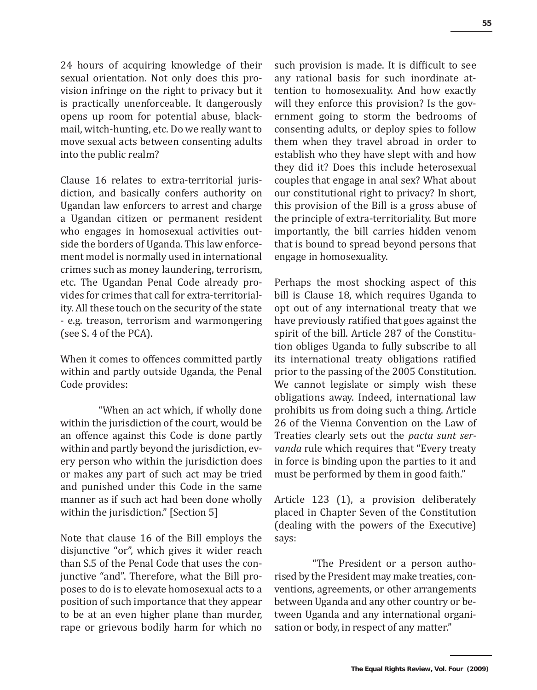24 hours of acquiring knowledge of their sexual orientation. Not only does this provision infringe on the right to privacy but it is practically unenforceable. It dangerously opens up room for potential abuse, blackmail, witch-hunting, etc. Do we really want to move sexual acts between consenting adults into the public realm?

Clause 16 relates to extra-territorial jurisdiction, and basically confers authority on Ugandan law enforcers to arrest and charge a Ugandan citizen or permanent resident who engages in homosexual activities outside the borders of Uganda. This law enforcement model is normally used in international crimes such as money laundering, terrorism, etc. The Ugandan Penal Code already provides for crimes that call for extra-territoriality. All these touch on the security of the state - e.g. treason, terrorism and warmongering (see S. 4 of the PCA).

When it comes to offences committed partly within and partly outside Uganda, the Penal Code provides:

"When an act which, if wholly done within the jurisdiction of the court, would be an offence against this Code is done partly within and partly beyond the jurisdiction, every person who within the jurisdiction does or makes any part of such act may be tried and punished under this Code in the same manner as if such act had been done wholly within the jurisdiction." [Section 5]

Note that clause 16 of the Bill employs the disjunctive "or", which gives it wider reach than S.5 of the Penal Code that uses the conjunctive "and". Therefore, what the Bill proposes to do is to elevate homosexual acts to a position of such importance that they appear to be at an even higher plane than murder, rape or grievous bodily harm for which no

such provision is made. It is difficult to see any rational basis for such inordinate attention to homosexuality. And how exactly will they enforce this provision? Is the government going to storm the bedrooms of consenting adults, or deploy spies to follow them when they travel abroad in order to establish who they have slept with and how they did it? Does this include heterosexual couples that engage in anal sex? What about our constitutional right to privacy? In short, this provision of the Bill is a gross abuse of the principle of extra-territoriality. But more importantly, the bill carries hidden venom that is bound to spread beyond persons that engage in homosexuality.

Perhaps the most shocking aspect of this bill is Clause 18, which requires Uganda to opt out of any international treaty that we have previously ratified that goes against the spirit of the bill. Article 287 of the Constitution obliges Uganda to fully subscribe to all its international treaty obligations ratified prior to the passing of the 2005 Constitution. We cannot legislate or simply wish these obligations away. Indeed, international law prohibits us from doing such a thing. Article 26 of the Vienna Convention on the Law of Treaties clearly sets out the *pacta sunt servanda* rule which requires that "Every treaty in force is binding upon the parties to it and must be performed by them in good faith."

Article 123 (1), a provision deliberately placed in Chapter Seven of the Constitution (dealing with the powers of the Executive) says:

"The President or a person authorised by the President may make treaties, conventions, agreements, or other arrangements between Uganda and any other country or between Uganda and any international organisation or body, in respect of any matter."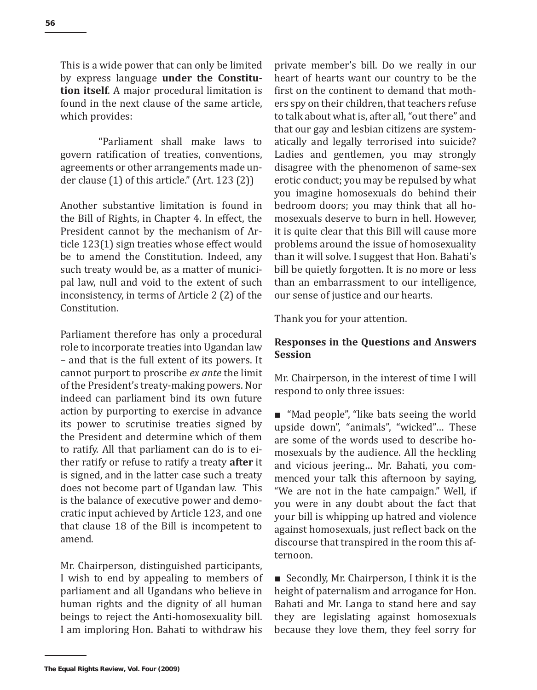This is a wide power that can only be limited by express language **under the Constitution itself**. A major procedural limitation is found in the next clause of the same article, which provides:

"Parliament shall make laws to govern ratification of treaties, conventions, agreements or other arrangements made under clause (1) of this article." (Art. 123 (2))

Another substantive limitation is found in the Bill of Rights, in Chapter 4. In effect, the President cannot by the mechanism of Article 123(1) sign treaties whose effect would be to amend the Constitution. Indeed, any such treaty would be, as a matter of municipal law, null and void to the extent of such inconsistency, in terms of Article 2 (2) of the Constitution.

Parliament therefore has only a procedural role to incorporate treaties into Ugandan law – and that is the full extent of its powers. It cannot purport to proscribe *ex ante* the limit of the President's treaty-making powers. Nor indeed can parliament bind its own future action by purporting to exercise in advance its power to scrutinise treaties signed by the President and determine which of them to ratify. All that parliament can do is to either ratify or refuse to ratify a treaty **after** it is signed, and in the latter case such a treaty does not become part of Ugandan law. This is the balance of executive power and democratic input achieved by Article 123, and one that clause 18 of the Bill is incompetent to amend.

Mr. Chairperson, distinguished participants, I wish to end by appealing to members of parliament and all Ugandans who believe in human rights and the dignity of all human beings to reject the Anti-homosexuality bill. I am imploring Hon. Bahati to withdraw his

private member's bill. Do we really in our heart of hearts want our country to be the first on the continent to demand that mothers spy on their children, that teachers refuse to talk about what is, after all, "out there" and that our gay and lesbian citizens are systematically and legally terrorised into suicide? Ladies and gentlemen, you may strongly disagree with the phenomenon of same-sex erotic conduct; you may be repulsed by what you imagine homosexuals do behind their bedroom doors; you may think that all homosexuals deserve to burn in hell. However, it is quite clear that this Bill will cause more problems around the issue of homosexuality than it will solve. I suggest that Hon. Bahati's bill be quietly forgotten. It is no more or less than an embarrassment to our intelligence, our sense of justice and our hearts.

Thank you for your attention.

## **Responses in the Questions and Answers Session**

Mr. Chairperson, in the interest of time I will respond to only three issues:

■ "Mad people", "like bats seeing the world upside down", "animals", "wicked"… These are some of the words used to describe homosexuals by the audience. All the heckling and vicious jeering… Mr. Bahati, you commenced your talk this afternoon by saying, "We are not in the hate campaign." Well, if you were in any doubt about the fact that your bill is whipping up hatred and violence against homosexuals, just reflect back on the discourse that transpired in the room this afternoon.

■ Secondly, Mr. Chairperson, I think it is the height of paternalism and arrogance for Hon. Bahati and Mr. Langa to stand here and say they are legislating against homosexuals because they love them, they feel sorry for